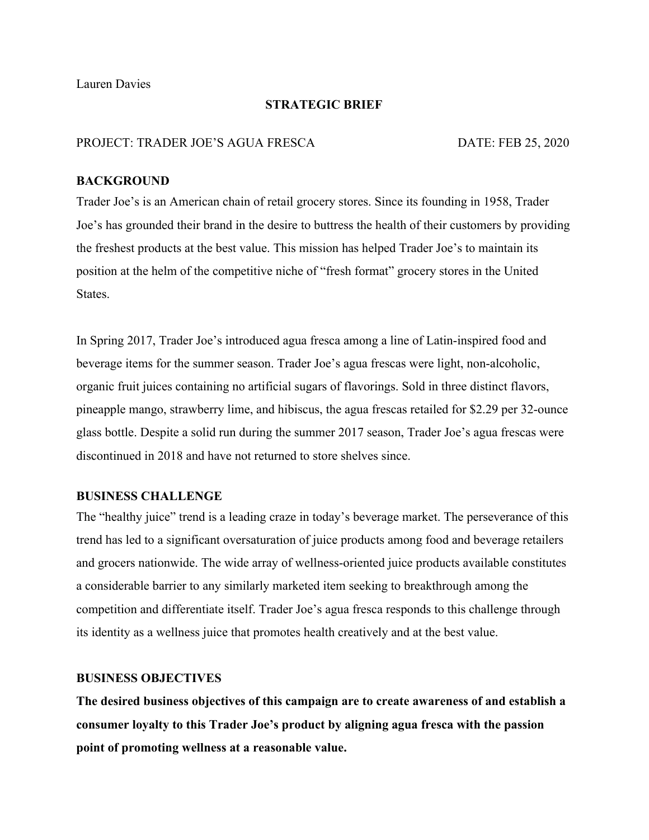Lauren Davies

# **STRATEGIC BRIEF**

#### PROJECT: TRADER JOE'S AGUA FRESCA DATE: FEB 25, 2020

## **BACKGROUND**

Trader Joe's is an American chain of retail grocery stores. Since its founding in 1958, Trader Joe's has grounded their brand in the desire to buttress the health of their customers by providing the freshest products at the best value. This mission has helped Trader Joe's to maintain its position at the helm of the competitive niche of "fresh format" grocery stores in the United **States**.

In Spring 2017, Trader Joe's introduced agua fresca among a line of Latin-inspired food and beverage items for the summer season. Trader Joe's agua frescas were light, non-alcoholic, organic fruit juices containing no artificial sugars of flavorings. Sold in three distinct flavors, pineapple mango, strawberry lime, and hibiscus, the agua frescas retailed for \$2.29 per 32-ounce glass bottle. Despite a solid run during the summer 2017 season, Trader Joe's agua frescas were discontinued in 2018 and have not returned to store shelves since.

# **BUSINESS CHALLENGE**

The "healthy juice" trend is a leading craze in today's beverage market. The perseverance of this trend has led to a significant oversaturation of juice products among food and beverage retailers and grocers nationwide. The wide array of wellness-oriented juice products available constitutes a considerable barrier to any similarly marketed item seeking to breakthrough among the competition and differentiate itself. Trader Joe's agua fresca responds to this challenge through its identity as a wellness juice that promotes health creatively and at the best value.

# **BUSINESS OBJECTIVES**

**The desired business objectives of this campaign are to create awareness of and establish a consumer loyalty to this Trader Joe's product by aligning agua fresca with the passion point of promoting wellness at a reasonable value.**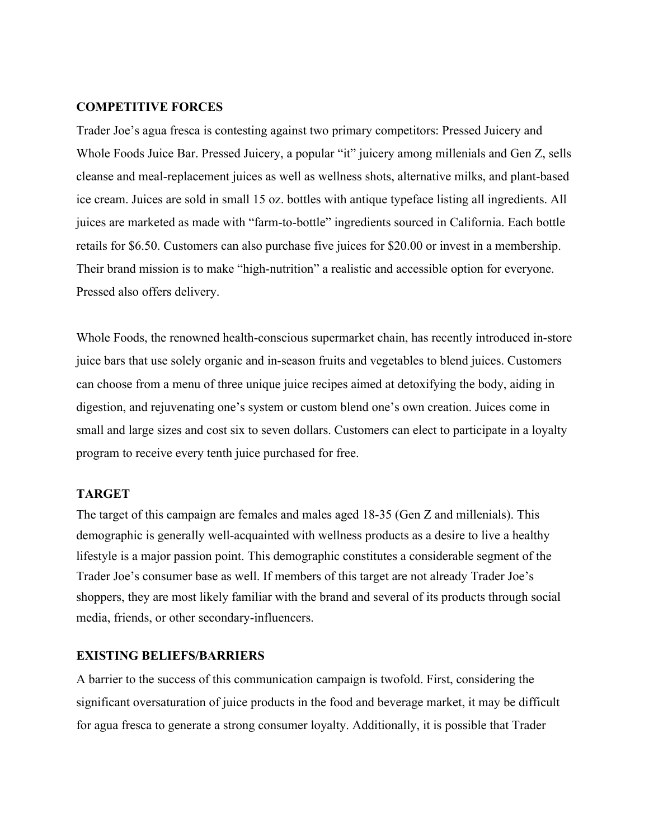#### **COMPETITIVE FORCES**

Trader Joe's agua fresca is contesting against two primary competitors: Pressed Juicery and Whole Foods Juice Bar. Pressed Juicery, a popular "it" juicery among millenials and Gen Z, sells cleanse and meal-replacement juices as well as wellness shots, alternative milks, and plant-based ice cream. Juices are sold in small 15 oz. bottles with antique typeface listing all ingredients. All juices are marketed as made with "farm-to-bottle" ingredients sourced in California. Each bottle retails for \$6.50. Customers can also purchase five juices for \$20.00 or invest in a membership. Their brand mission is to make "high-nutrition" a realistic and accessible option for everyone. Pressed also offers delivery.

Whole Foods, the renowned health-conscious supermarket chain, has recently introduced in-store juice bars that use solely organic and in-season fruits and vegetables to blend juices. Customers can choose from a menu of three unique juice recipes aimed at detoxifying the body, aiding in digestion, and rejuvenating one's system or custom blend one's own creation. Juices come in small and large sizes and cost six to seven dollars. Customers can elect to participate in a loyalty program to receive every tenth juice purchased for free.

#### **TARGET**

The target of this campaign are females and males aged 18-35 (Gen Z and millenials). This demographic is generally well-acquainted with wellness products as a desire to live a healthy lifestyle is a major passion point. This demographic constitutes a considerable segment of the Trader Joe's consumer base as well. If members of this target are not already Trader Joe's shoppers, they are most likely familiar with the brand and several of its products through social media, friends, or other secondary-influencers.

### **EXISTING BELIEFS/BARRIERS**

A barrier to the success of this communication campaign is twofold. First, considering the significant oversaturation of juice products in the food and beverage market, it may be difficult for agua fresca to generate a strong consumer loyalty. Additionally, it is possible that Trader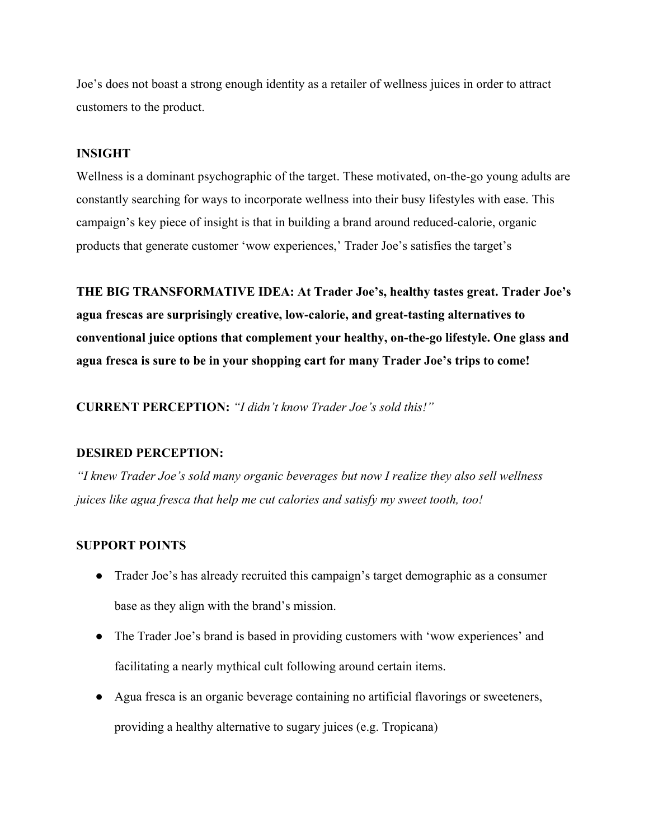Joe's does not boast a strong enough identity as a retailer of wellness juices in order to attract customers to the product.

# **INSIGHT**

Wellness is a dominant psychographic of the target. These motivated, on-the-go young adults are constantly searching for ways to incorporate wellness into their busy lifestyles with ease. This campaign's key piece of insight is that in building a brand around reduced-calorie, organic products that generate customer 'wow experiences,' Trader Joe's satisfies the target's

**THE BIG TRANSFORMATIVE IDEA: At Trader Joe's, healthy tastes great. Trader Joe's agua frescas are surprisingly creative, low-calorie, and great-tasting alternatives to conventional juice options that complement your healthy, on-the-go lifestyle. One glass and agua fresca is sure to be in your shopping cart for many Trader Joe's trips to come!**

**CURRENT PERCEPTION:** *"I didn't know Trader Joe's sold this!"*

## **DESIRED PERCEPTION:**

*"I knew Trader Joe's sold many organic beverages but now I realize they also sell wellness juices like agua fresca that help me cut calories and satisfy my sweet tooth, too!*

# **SUPPORT POINTS**

- Trader Joe's has already recruited this campaign's target demographic as a consumer base as they align with the brand's mission.
- The Trader Joe's brand is based in providing customers with 'wow experiences' and facilitating a nearly mythical cult following around certain items.
- Agua fresca is an organic beverage containing no artificial flavorings or sweeteners, providing a healthy alternative to sugary juices (e.g. Tropicana)